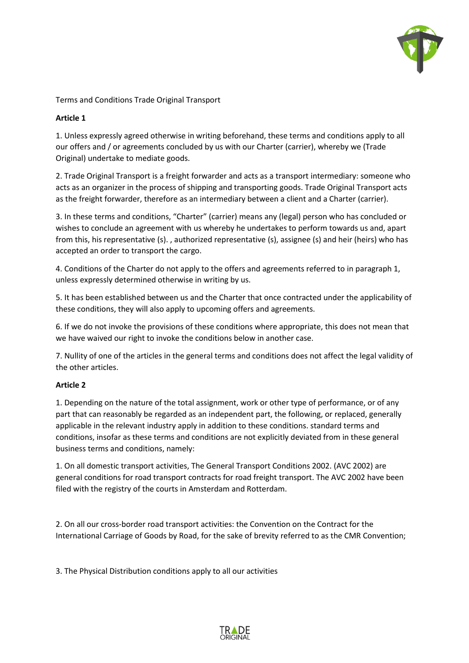

Terms and Conditions Trade Original Transport

# **Article 1**

1. Unless expressly agreed otherwise in writing beforehand, these terms and conditions apply to all our offers and / or agreements concluded by us with our Charter (carrier), whereby we (Trade Original) undertake to mediate goods.

2. Trade Original Transport is a freight forwarder and acts as a transport intermediary: someone who acts as an organizer in the process of shipping and transporting goods. Trade Original Transport acts as the freight forwarder, therefore as an intermediary between a client and a Charter (carrier).

3. In these terms and conditions, "Charter" (carrier) means any (legal) person who has concluded or wishes to conclude an agreement with us whereby he undertakes to perform towards us and, apart from this, his representative (s). , authorized representative (s), assignee (s) and heir (heirs) who has accepted an order to transport the cargo.

4. Conditions of the Charter do not apply to the offers and agreements referred to in paragraph 1, unless expressly determined otherwise in writing by us.

5. It has been established between us and the Charter that once contracted under the applicability of these conditions, they will also apply to upcoming offers and agreements.

6. If we do not invoke the provisions of these conditions where appropriate, this does not mean that we have waived our right to invoke the conditions below in another case.

7. Nullity of one of the articles in the general terms and conditions does not affect the legal validity of the other articles.

# **Article 2**

1. Depending on the nature of the total assignment, work or other type of performance, or of any part that can reasonably be regarded as an independent part, the following, or replaced, generally applicable in the relevant industry apply in addition to these conditions. standard terms and conditions, insofar as these terms and conditions are not explicitly deviated from in these general business terms and conditions, namely:

1. On all domestic transport activities, The General Transport Conditions 2002. (AVC 2002) are general conditions for road transport contracts for road freight transport. The AVC 2002 have been filed with the registry of the courts in Amsterdam and Rotterdam.

2. On all our cross-border road transport activities: the Convention on the Contract for the International Carriage of Goods by Road, for the sake of brevity referred to as the CMR Convention;

3. The Physical Distribution conditions apply to all our activities

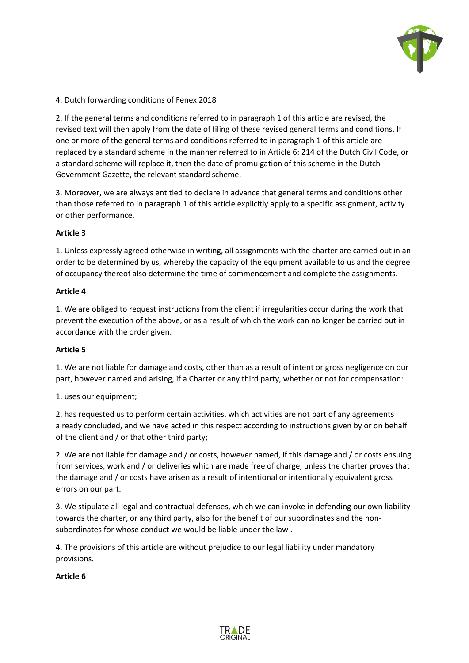

4. Dutch forwarding conditions of Fenex 2018

2. If the general terms and conditions referred to in paragraph 1 of this article are revised, the revised text will then apply from the date of filing of these revised general terms and conditions. If one or more of the general terms and conditions referred to in paragraph 1 of this article are replaced by a standard scheme in the manner referred to in Article 6: 214 of the Dutch Civil Code, or a standard scheme will replace it, then the date of promulgation of this scheme in the Dutch Government Gazette, the relevant standard scheme.

3. Moreover, we are always entitled to declare in advance that general terms and conditions other than those referred to in paragraph 1 of this article explicitly apply to a specific assignment, activity or other performance.

## **Article 3**

1. Unless expressly agreed otherwise in writing, all assignments with the charter are carried out in an order to be determined by us, whereby the capacity of the equipment available to us and the degree of occupancy thereof also determine the time of commencement and complete the assignments.

### **Article 4**

1. We are obliged to request instructions from the client if irregularities occur during the work that prevent the execution of the above, or as a result of which the work can no longer be carried out in accordance with the order given.

### **Article 5**

1. We are not liable for damage and costs, other than as a result of intent or gross negligence on our part, however named and arising, if a Charter or any third party, whether or not for compensation:

1. uses our equipment;

2. has requested us to perform certain activities, which activities are not part of any agreements already concluded, and we have acted in this respect according to instructions given by or on behalf of the client and / or that other third party;

2. We are not liable for damage and / or costs, however named, if this damage and / or costs ensuing from services, work and / or deliveries which are made free of charge, unless the charter proves that the damage and / or costs have arisen as a result of intentional or intentionally equivalent gross errors on our part.

3. We stipulate all legal and contractual defenses, which we can invoke in defending our own liability towards the charter, or any third party, also for the benefit of our subordinates and the nonsubordinates for whose conduct we would be liable under the law .

4. The provisions of this article are without prejudice to our legal liability under mandatory provisions.

### **Article 6**